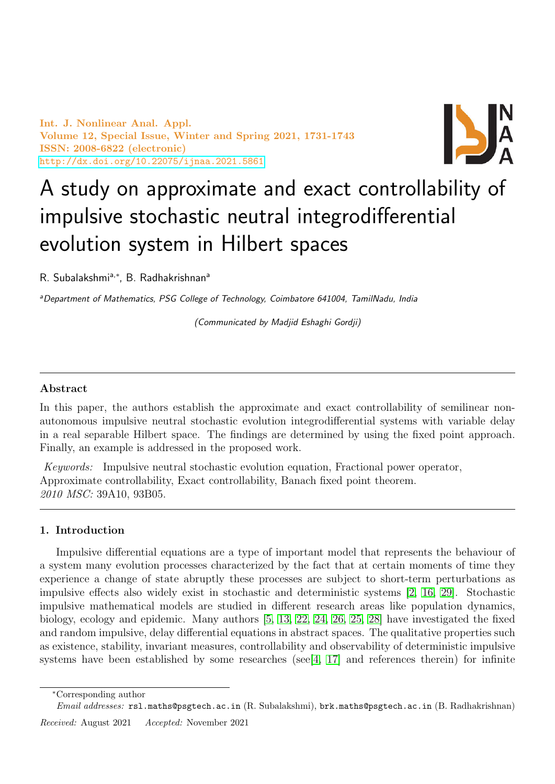Int. J. Nonlinear Anal. Appl. Volume 12, Special Issue, Winter and Spring 2021, 1731-1743 ISSN: 2008-6822 (electronic) <http://dx.doi.org/10.22075/ijnaa.2021.5861>



# A study on approximate and exact controllability of impulsive stochastic neutral integrodifferential evolution system in Hilbert spaces

R. Subalakshmi<sup>a,\*</sup>, B. Radhakrishnan<sup>a</sup>

aDepartment of Mathematics, PSG College of Technology, Coimbatore 641004, TamilNadu, India

(Communicated by Madjid Eshaghi Gordji)

# Abstract

In this paper, the authors establish the approximate and exact controllability of semilinear nonautonomous impulsive neutral stochastic evolution integrodifferential systems with variable delay in a real separable Hilbert space. The findings are determined by using the fixed point approach. Finally, an example is addressed in the proposed work.

Keywords: Impulsive neutral stochastic evolution equation, Fractional power operator, Approximate controllability, Exact controllability, Banach fixed point theorem. 2010 MSC: 39A10, 93B05.

# 1. Introduction

Impulsive differential equations are a type of important model that represents the behaviour of a system many evolution processes characterized by the fact that at certain moments of time they experience a change of state abruptly these processes are subject to short-term perturbations as impulsive effects also widely exist in stochastic and deterministic systems [\[2,](#page-11-0) [16,](#page-12-0) [29\]](#page-12-1). Stochastic impulsive mathematical models are studied in different research areas like population dynamics, biology, ecology and epidemic. Many authors [\[5,](#page-11-1) [13,](#page-12-2) [22,](#page-12-3) [24,](#page-12-4) [26,](#page-12-5) [25,](#page-12-6) [28\]](#page-12-7) have investigated the fixed and random impulsive, delay differential equations in abstract spaces. The qualitative properties such as existence, stability, invariant measures, controllability and observability of deterministic impulsive systems have been established by some researches (see  $[4, 17]$  $[4, 17]$  and references therein) for infinite

<sup>∗</sup>Corresponding author

Email addresses: rsl.maths@psgtech.ac.in (R. Subalakshmi), brk.maths@psgtech.ac.in (B. Radhakrishnan)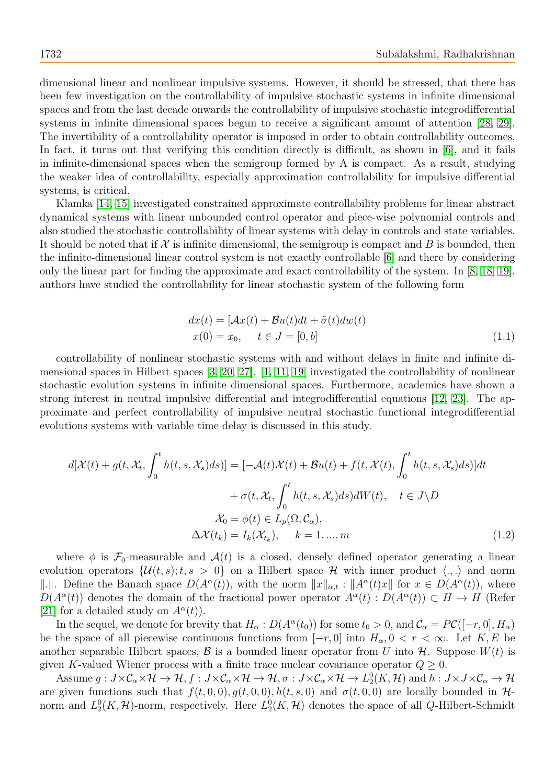dimensional linear and nonlinear impulsive systems. However, it should be stressed, that there has been few investigation on the controllability of impulsive stochastic systems in infinite dimensional spaces and from the last decade onwards the controllability of impulsive stochastic integrodifferential systems in infinite dimensional spaces begun to receive a significant amount of attention [\[28,](#page-12-7) [29\]](#page-12-1). The invertibility of a controllability operator is imposed in order to obtain controllability outcomes. In fact, it turns out that verifying this condition directly is difficult, as shown in [\[6\]](#page-11-3), and it fails in infinite-dimensional spaces when the semigroup formed by A is compact. As a result, studying the weaker idea of controllability, especially approximation controllability for impulsive differential systems, is critical.

Klamka [\[14,](#page-12-9) [15\]](#page-12-10) investigated constrained approximate controllability problems for linear abstract dynamical systems with linear unbounded control operator and piece-wise polynomial controls and also studied the stochastic controllability of linear systems with delay in controls and state variables. It should be noted that if  $\mathcal X$  is infinite dimensional, the semigroup is compact and B is bounded, then the infinite-dimensional linear control system is not exactly controllable [\[6\]](#page-11-3) and there by considering only the linear part for finding the approximate and exact controllability of the system. In [\[8,](#page-11-4) [18,](#page-12-11) [19\]](#page-12-12), authors have studied the controllability for linear stochastic system of the following form

$$
dx(t) = [\mathcal{A}x(t) + \mathcal{B}u(t)dt + \tilde{\sigma}(t)dw(t)
$$
  

$$
x(0) = x_0, \quad t \in J = [0, b]
$$
 (1.1)

controllability of nonlinear stochastic systems with and without delays in finite and infinite dimensional spaces in Hilbert spaces [\[3,](#page-11-5) [20,](#page-12-13) [27\]](#page-12-14). [\[1,](#page-11-6) [11,](#page-12-15) [19\]](#page-12-12) investigated the controllability of nonlinear stochastic evolution systems in infinite dimensional spaces. Furthermore, academics have shown a strong interest in neutral impulsive differential and integrodifferential equations [\[12,](#page-12-16) [23\]](#page-12-17). The approximate and perfect controllability of impulsive neutral stochastic functional integrodifferential evolutions systems with variable time delay is discussed in this study.

$$
d[\mathcal{X}(t) + g(t, \mathcal{X}_t, \int_0^t h(t, s, \mathcal{X}_s) ds)] = [-\mathcal{A}(t)\mathcal{X}(t) + \mathcal{B}u(t) + f(t, \mathcal{X}(t), \int_0^t h(t, s, \mathcal{X}_s) ds)]dt + \sigma(t, \mathcal{X}_t, \int_0^t h(t, s, \mathcal{X}_s) ds)dW(t), \quad t \in J \backslash D \mathcal{X}_0 = \phi(t) \in L_p(\Omega, \mathcal{C}_\alpha), \Delta \mathcal{X}(t_k) = I_k(\mathcal{X}_{t_k}), \quad k = 1, ..., m
$$
\n(1.2)

where  $\phi$  is  $\mathcal{F}_0$ -measurable and  $\mathcal{A}(t)$  is a closed, densely defined operator generating a linear evolution operators  $\{\mathcal{U}(t,s);t,s>0\}$  on a Hilbert space  $\mathcal{H}$  with inner product  $\langle .,.\rangle$  and norm ||.||. Define the Banach space  $D(A^{\alpha}(t))$ , with the norm  $||x||_{\alpha,t} : ||A^{\alpha}(t)x||$  for  $x \in D(A^{\alpha}(t))$ , where  $D(A^{\alpha}(t))$  denotes the domain of the fractional power operator  $A^{\alpha}(t) : D(A^{\alpha}(t)) \subset H \to H$  (Refer [\[21\]](#page-12-18) for a detailed study on  $A^{\alpha}(t)$ .

In the sequel, we denote for brevity that  $H_\alpha: D(A^\alpha(t_0))$  for some  $t_0 > 0$ , and  $\mathcal{C}_\alpha = P\mathcal{C}([-r, 0], H_\alpha)$ be the space of all piecewise continuous functions from  $[-r, 0]$  into  $H_{\alpha}, 0 < r < \infty$ . Let  $K, E$  be another separable Hilbert spaces,  $\mathcal B$  is a bounded linear operator from U into  $\mathcal H$ . Suppose  $W(t)$  is given K-valued Wiener process with a finite trace nuclear covariance operator  $Q \geq 0$ .

Assume  $g: J \times C_{\alpha} \times H \to H$ ,  $f: J \times C_{\alpha} \times H \to H$ ,  $\sigma: J \times C_{\alpha} \times H \to L_2^0(K, H)$  and  $h: J \times J \times C_{\alpha} \to H$ are given functions such that  $f(t, 0, 0), g(t, 0, 0), h(t, s, 0)$  and  $\sigma(t, 0, 0)$  are locally bounded in Hnorm and  $L_2^0(K, \mathcal{H})$ -norm, respectively. Here  $L_2^0(K, \mathcal{H})$  denotes the space of all Q-Hilbert-Schmidt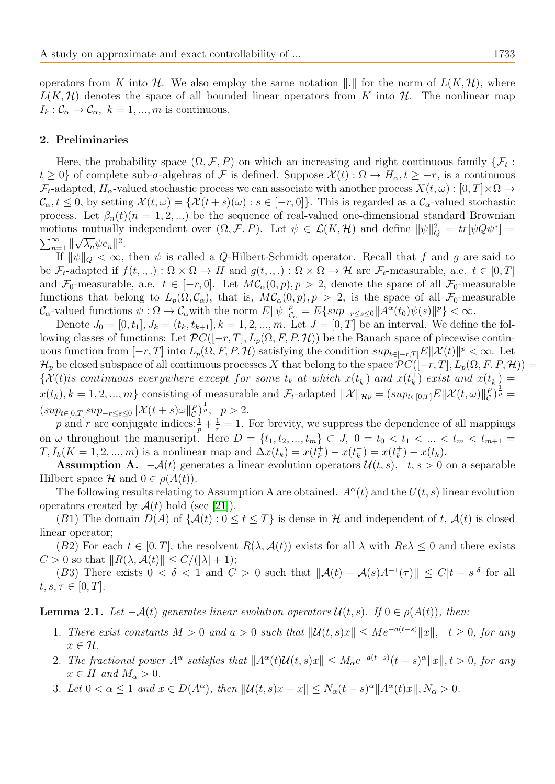## 2. Preliminaries

Here, the probability space  $(\Omega, \mathcal{F}, P)$  on which an increasing and right continuous family  $\{\mathcal{F}_t$ :  $t \geq 0$  of complete sub- $\sigma$ -algebras of F is defined. Suppose  $\mathcal{X}(t): \Omega \to H_{\alpha}, t \geq -r$ , is a continuous  $\mathcal{F}_t$ -adapted,  $H_\alpha$ -valued stochastic process we can associate with another process  $X(t,\omega):[0,T]\times\Omega\to$  $\mathcal{C}_{\alpha}, t \leq 0$ , by setting  $\mathcal{X}(t, \omega) = \{ \mathcal{X}(t+s)(\omega) : s \in [-r, 0] \}$ . This is regarded as a  $\mathcal{C}_{\alpha}$ -valued stochastic process. Let  $\beta_n(t)(n=1,2,...)$  be the sequence of real-valued one-dimensional standard Brownian motions mutually independent over  $(\Omega, \mathcal{F}, P)$ . Let  $\psi \in \mathcal{L}(K, \mathcal{H})$  and define  $\|\psi\|_Q^2 = tr[\psi Q \psi^*] =$  $\sum_{n=1}^{\infty}$  || √  $\overline{\lambda_n} \psi e_n \|^{2}$ .

If  $\|\psi\|_Q < \infty$ , then  $\psi$  is called a Q-Hilbert-Schmidt operator. Recall that f and g are said to be  $\mathcal{F}_t$ -adapted if  $f(t, \ldots) : \Omega \times \Omega \to H$  and  $g(t, \ldots) : \Omega \times \Omega \to H$  are  $\mathcal{F}_t$ -measurable, a.e.  $t \in [0, T]$ and  $\mathcal{F}_0$ -measurable, a.e.  $t \in [-r, 0]$ . Let  $MC_\alpha(0, p), p > 2$ , denote the space of all  $\mathcal{F}_0$ -measurable functions that belong to  $L_p(\Omega, \mathcal{C}_\alpha)$ , that is,  $M\mathcal{C}_\alpha(0, p), p > 2$ , is the space of all  $\mathcal{F}_0$ -measurable  $\mathcal{C}_{\alpha}$ -valued functions  $\psi : \Omega \to \mathcal{C}_{\alpha}$  with the norm  $E\|\psi\|_{\mathcal{C}_{\alpha}}^p = E\{sup_{-r \leq s \leq 0} \|A^{\alpha}(t_0)\psi(s)\|^p\} < \infty$ .

Denote  $J_0 = [0, t_1], J_k = (t_k, t_{k+1}], k = 1, 2, ..., m$ . Let  $J = [0, T]$  be an interval. We define the following classes of functions: Let  $\mathcal{P}C([-r,T], L_p(\Omega, F, P, \mathcal{H}))$  be the Banach space of piecewise continuous function from  $[-r, T]$  into  $L_p(\Omega, F, P, \mathcal{H})$  satisfying the condition  $sup_{t \in [-r, T]} E\|\mathcal{X}(t)\|^p < \infty$ . Let  $\mathcal{H}_p$  be closed subspace of all continuous processes X that belong to the space  $\mathcal{P}C([-r,T], L_p(\Omega, F, P, \mathcal{H})) =$  $\{\mathcal{X}(t)$  is continuous everywhere except for some  $t_k$  at which  $x(t_k^-)$  $\binom{m}{k}$  and  $x(t_k^+)$  $(x_k^+)$  exist and  $x(t_k^-)$  $\bar{k}$ ) =  $x(t_k)$ ,  $k = 1, 2, ..., m$ } consisting of measurable and  $\mathcal{F}_t$ -adapted  $\|\mathcal{X}\|_{\mathcal{H}p} = (sup_{t \in [0,T]} E \|\mathcal{X}(t,\omega)\|_{\mathcal{C}}^p)^{\frac{1}{p}} =$  $(sup_{t\in[0,T]}sup_{-r\leq s\leq 0}||\mathcal{X}(t+s)\omega||_{\mathcal{C}}^{P})^{\frac{1}{p}}, \ \ p>2.$ 

p and r are conjugate indices:  $\frac{1}{p} + \frac{1}{r} = 1$ . For brevity, we suppress the dependence of all mappings on  $\omega$  throughout the manuscript. Here  $D = \{t_1, t_2, ..., t_m\} \subset J$ ,  $0 = t_0 < t_1 < ... < t_m < t_{m+1}$  $T, I_k(K = 1, 2, ..., m)$  is a nonlinear map and  $\Delta x(t_k) = x(t_k^+)$  $(k)$  –  $x(t_k^-)$  $(\bar{k}_k) = x(t_k^+)$  $(x_k^+) - x(t_k).$ 

**Assumption A.**  $-\mathcal{A}(t)$  generates a linear evolution operators  $\mathcal{U}(t, s)$ ,  $t, s > 0$  on a separable Hilbert space  $\mathcal H$  and  $0 \in \rho(A(t))$ .

The following results relating to Assumption A are obtained.  $A^{\alpha}(t)$  and the  $U(t, s)$  linear evolution operators created by  $\mathcal{A}(t)$  hold (see [\[21\]](#page-12-18)).

(B1) The domain  $D(A)$  of  $\{\mathcal{A}(t): 0 \le t \le T\}$  is dense in H and independent of t,  $\mathcal{A}(t)$  is closed linear operator;

(B2) For each  $t \in [0, T]$ , the resolvent  $R(\lambda, \mathcal{A}(t))$  exists for all  $\lambda$  with  $Re\lambda \leq 0$  and there exists  $C > 0$  so that  $||R(\lambda, \mathcal{A}(t)|| \le C/(|\lambda| + 1);$ 

(B3) There exists  $0 < \delta < 1$  and  $C > 0$  such that  $\|\mathcal{A}(t) - \mathcal{A}(s)A^{-1}(\tau)\| \le C|t - s|^{\delta}$  for all  $t, s, \tau \in [0, T].$ 

<span id="page-2-0"></span>**Lemma 2.1.** Let  $-\mathcal{A}(t)$  generates linear evolution operators  $\mathcal{U}(t, s)$ . If  $0 \in \rho(\mathcal{A}(t))$ , then:

- 1. There exist constants  $M > 0$  and  $a > 0$  such that  $\|\mathcal{U}(t,s)x\| \leq Me^{-a(t-s)}\|x\|$ ,  $t \geq 0$ , for any  $x \in \mathcal{H}$ .
- 2. The fractional power  $A^{\alpha}$  satisfies that  $||A^{\alpha}(t)U(t,s)x|| \leq M_{\alpha}e^{-a(t-s)}(t-s)^{\alpha}||x||, t > 0$ , for any  $x \in H$  and  $M_{\alpha} > 0$ .
- 3. Let  $0 < \alpha \leq 1$  and  $x \in D(A^{\alpha})$ , then  $\|\mathcal{U}(t,s)x x\| \leq N_{\alpha}(t-s)^{\alpha}\|A^{\alpha}(t)x\|, N_{\alpha} > 0$ .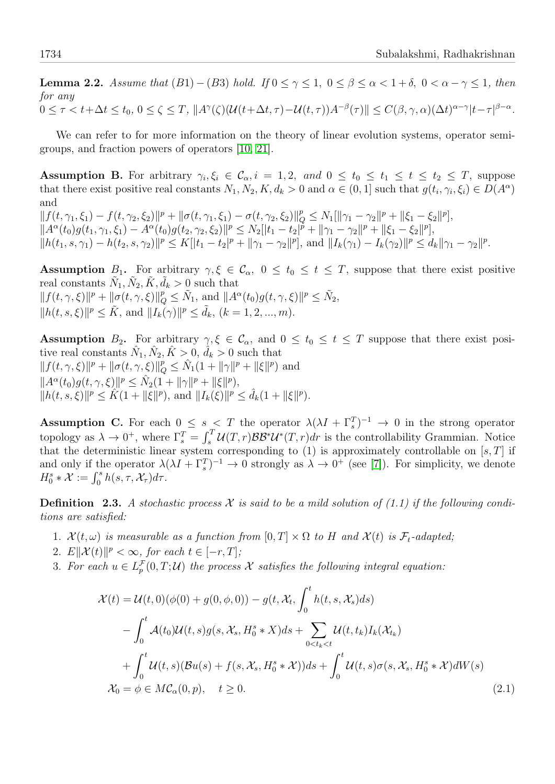**Lemma 2.2.** Assume that  $(B1) - (B3)$  hold. If  $0 \le \gamma \le 1$ ,  $0 \le \beta \le \alpha < 1 + \delta$ ,  $0 < \alpha - \gamma \le 1$ , then for any  $0 \leq \tau < t + \Delta t \leq t_0, \ 0 \leq \zeta \leq T, \ \|A^\gamma(\zeta)(\mathcal{U}(t+\Delta t, \tau) - \mathcal{U}(t,\tau))A^{-\beta}(\tau)\| \leq C(\beta, \gamma, \alpha)(\Delta t)^{\alpha - \gamma}|t-\tau|^{\beta - \alpha}.$ 

We can refer to for more information on the theory of linear evolution systems, operator semigroups, and fraction powers of operators [\[10,](#page-12-19) [21\]](#page-12-18).

**Assumption B.** For arbitrary  $\gamma_i, \xi_i \in \mathcal{C}_{\alpha}, i = 1, 2, \text{ and } 0 \leq t_0 \leq t_1 \leq t \leq t_2 \leq T$ , suppose that there exist positive real constants  $N_1, N_2, K, d_k > 0$  and  $\alpha \in (0, 1]$  such that  $g(t_i, \gamma_i, \xi_i) \in D(A^{\alpha})$ and

 $|| f(t, \gamma_1, \xi_1) - f(t, \gamma_2, \xi_2)||^p + ||\sigma(t, \gamma_1, \xi_1) - \sigma(t, \gamma_2, \xi_2)||_Q^p \leq N_1[||\gamma_1 - \gamma_2||^p + ||\xi_1 - \xi_2||^p],$  $||A^{\alpha}(t_0)g(t_1,\gamma_1,\xi_1)-A^{\alpha}(t_0)g(t_2,\gamma_2,\xi_2)||^p\leq N_2[|t_1-t_2|^p+ \|\gamma_1-\gamma_2\|^p+ \|\xi_1-\xi_2\|^p],$  $||h(t_1, s, \gamma_1) - h(t_2, s, \gamma_2)||^p \le K[|t_1 - t_2|^p + ||\gamma_1 - \gamma_2||^p],$  and  $||I_k(\gamma_1) - I_k(\gamma_2)||^p \le d_k ||\gamma_1 - \gamma_2||^p.$ 

Assumption  $B_1$ . For arbitrary  $\gamma, \xi \in \mathcal{C}_\alpha$ ,  $0 \le t_0 \le t \le T$ , suppose that there exist positive real constants  $\tilde{N}_1, \tilde{N}_2, \tilde{K}, \tilde{d}_k > 0$  such that  $||f(t, \gamma, \xi)||^p + ||\sigma(t, \gamma, \xi)||_Q^p \leq \tilde{N}_1$ , and  $||A^{\alpha}(t_0)g(t, \gamma, \xi)||^p \leq \tilde{N}_2$ ,  $||h(t, s, \xi)||^p \leq \tilde{K}$ , and  $||I_k(\gamma)||^p \leq \tilde{d}_k$ ,  $(k = 1, 2, ..., m)$ .

Assumption  $B_2$ . For arbitrary  $\gamma, \xi \in \mathcal{C}_\alpha$ , and  $0 \le t_0 \le t \le T$  suppose that there exist positive real constants  $\hat{N}_1, \hat{N}_2, \hat{K} > 0, \hat{d}_k > 0$  such that  $|| f(t, \gamma, \xi) ||^p + || \sigma(t, \gamma, \xi) ||_Q^p \leq \hat{N}_1(1 + ||\gamma||^p + ||\xi||^p)$  and  $||A^{\alpha}(t_0)g(t,\gamma,\xi)||^p \leq \hat{N}_2(1+||\gamma||^p + ||\xi||^p),$  $||h(t, s, \xi)||^p \leq \hat{K}(1 + ||\xi||^p)$ , and  $||I_k(\xi)||^p \leq \hat{d}_k(1 + ||\xi||^p)$ .

**Assumption C.** For each  $0 \leq s \leq T$  the operator  $\lambda(\lambda I + \Gamma_s^T)^{-1} \to 0$  in the strong operator topology as  $\lambda \to 0^+$ , where  $\Gamma_s^T = \int_s^T \mathcal{U}(T,r) \mathcal{B} \mathcal{B}^* \mathcal{U}^*(T,r) dr$  is the controllability Grammian. Notice that the deterministic linear system corresponding to  $(1)$  is approximately controllable on  $[s, T]$  if and only if the operator  $\lambda(\lambda I + \Gamma_s^T)^{-1} \to 0$  strongly as  $\lambda \to 0^+$  (see [\[7\]](#page-11-7)). For simplicity, we denote  $H_0^s * \mathcal{X} := \int_0^s h(s, \tau, \mathcal{X}_\tau) d\tau.$ 

**Definition** 2.3. A stochastic process X is said to be a mild solution of  $(1.1)$  if the following conditions are satisfied:

- 1.  $\mathcal{X}(t,\omega)$  is measurable as a function from  $[0,T] \times \Omega$  to H and  $\mathcal{X}(t)$  is  $\mathcal{F}_t$ -adapted;
- 2.  $E\mathcal{X}(t)\mathcal{Y}(t) \geq \infty$ , for each  $t \in [-r, T]$ ;
- 3. For each  $u \in L_p^{\mathcal{F}}(0,T;\mathcal{U})$  the process X satisfies the following integral equation:

$$
\mathcal{X}(t) = \mathcal{U}(t,0)(\phi(0) + g(0,\phi,0)) - g(t, \mathcal{X}_t, \int_0^t h(t,s,\mathcal{X}_s)ds)
$$
  

$$
- \int_0^t \mathcal{A}(t_0)\mathcal{U}(t,s)g(s,\mathcal{X}_s, H_0^s * X)ds + \sum_{0 < t_k < t} \mathcal{U}(t,t_k)I_k(\mathcal{X}_{t_k})
$$
  

$$
+ \int_0^t \mathcal{U}(t,s)(\mathcal{B}u(s) + f(s,\mathcal{X}_s, H_0^s * \mathcal{X}))ds + \int_0^t \mathcal{U}(t,s)\sigma(s,\mathcal{X}_s, H_0^s * \mathcal{X})dW(s)
$$
  

$$
\mathcal{X}_0 = \phi \in MC_\alpha(0,p), \quad t \ge 0.
$$
 (2.1)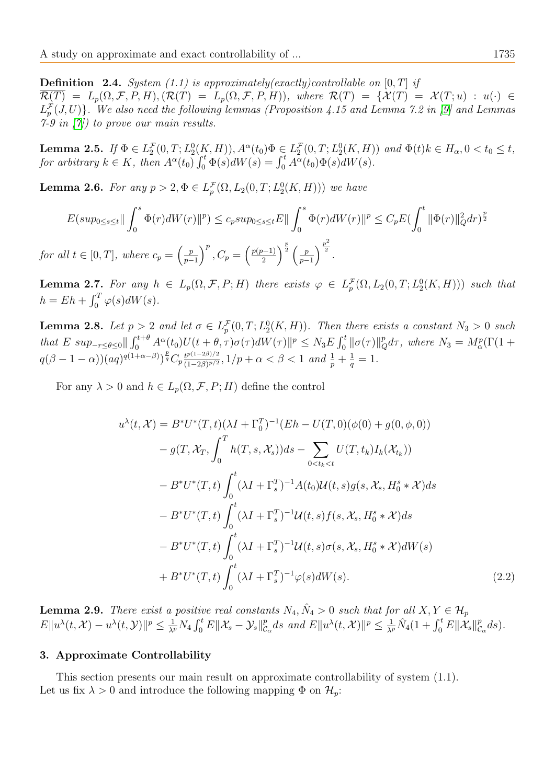**Definition** 2.4. System (1.1) is approximately(exactly)controllable on [0, T] if  $\mathcal{R}(T) = L_p(\Omega, \mathcal{F}, P, H), (\mathcal{R}(T) = L_p(\Omega, \mathcal{F}, P, H)),$  where  $\mathcal{R}(T) = {\mathcal{X}(T; u) : u(\cdot) \in \mathcal{R}(T; u)}$  $L_p^{\mathcal{F}}(J,U) \}$ . We also need the following lemmas (Proposition 4.15 and Lemma 7.2 in [\[9\]](#page-12-20) and Lemmas 7-9 in  $(7)$  to prove our main results.

<span id="page-4-0"></span>**Lemma 2.5.** If  $\Phi \in L_2^{\mathcal{F}}(0,T; L_2^0(K, H)), A^{\alpha}(t_0) \Phi \in L_2^{\mathcal{F}}(0,T; L_2^0(K, H))$  and  $\Phi(t)k \in H_{\alpha}, 0 < t_0 \leq t$ , for arbitrary  $k \in K$ , then  $A^{\alpha}(t_0) \int_0^t \Phi(s) dW(s) = \int_0^t A^{\alpha}(t_0) \Phi(s) dW(s)$ .

**Lemma 2.6.** For any  $p > 2$ ,  $\Phi \in L_p^{\mathcal{F}}(\Omega, L_2(0,T; L_2^0(K,H)))$  we have

$$
E(sup_{0 \le s \le t} || \int_{0}^{s} \Phi(r)dW(r) ||^{p}) \le c_{p} sup_{0 \le s \le t} E || \int_{0}^{s} \Phi(r)dW(r) ||^{p} \le C_{p} E \left(\int_{0}^{t} ||\Phi(r)||_{Q}^{2} dr\right)^{\frac{p}{2}}
$$
  
for all  $t \in [0, T]$ , where  $c_{p} = \left(\frac{p}{p-1}\right)^{p}$ ,  $C_{p} = \left(\frac{p(p-1)}{2}\right)^{\frac{p}{2}} \left(\frac{p}{p-1}\right)^{\frac{p^{2}}{2}}$ .

<span id="page-4-1"></span>**Lemma 2.7.** For any  $h \in L_p(\Omega, \mathcal{F}, P; H)$  there exists  $\varphi \in L_p^{\mathcal{F}}(\Omega, L_2(0,T; L_2^0(K, H)))$  such that  $h = Eh + \int_0^T \varphi(s)dW(s).$ 

**Lemma 2.8.** Let  $p > 2$  and let  $\sigma \in L^{\mathcal{F}}_p(0,T; L^0_2(K,H))$ . Then there exists a constant  $N_3 > 0$  such that E  $sup_{-r\leq\theta\leq0}||\int_0^{t+\theta}A^{\alpha}(t_0)U(t+\theta,\tau)\sigma(\tau)dW(\tau)||^p\leq N_3E\int_0^t||\sigma(\tau)||_Q^pd\tau$ , where  $N_3=M_{\alpha}^p(\Gamma(1+\theta,\tau))$  $q(\beta-1-\alpha))(aq)^{q(1+\alpha-\beta)}\big)^{\frac{p}{q}}C_p\frac{t^{p(1-2\beta)/2}}{(1-2\beta)p/2}$  $\frac{t^{p(1-2\beta)/2}}{(1-2\beta)^{p/2}}, 1/p + \alpha < \beta < 1$  and  $\frac{1}{p} + \frac{1}{q}$  $\frac{1}{q} = 1.$ 

For any  $\lambda > 0$  and  $h \in L_p(\Omega, \mathcal{F}, P; H)$  define the control

<span id="page-4-2"></span>
$$
u^{\lambda}(t, \mathcal{X}) = B^* U^*(T, t) (\lambda I + \Gamma_0^T)^{-1} (Eh - U(T, 0)(\phi(0) + g(0, \phi, 0))
$$
  
\n
$$
- g(T, \mathcal{X}_T, \int_0^T h(T, s, \mathcal{X}_s)) ds - \sum_{0 < t_k < t} U(T, t_k) I_k(\mathcal{X}_{t_k}))
$$
  
\n
$$
- B^* U^*(T, t) \int_0^t (\lambda I + \Gamma_s^T)^{-1} A(t_0) \mathcal{U}(t, s) g(s, \mathcal{X}_s, H_0^s * \mathcal{X}) ds
$$
  
\n
$$
- B^* U^*(T, t) \int_0^t (\lambda I + \Gamma_s^T)^{-1} \mathcal{U}(t, s) f(s, \mathcal{X}_s, H_0^s * \mathcal{X}) ds
$$
  
\n
$$
- B^* U^*(T, t) \int_0^t (\lambda I + \Gamma_s^T)^{-1} \mathcal{U}(t, s) \sigma(s, \mathcal{X}_s, H_0^s * \mathcal{X}) dW(s)
$$
  
\n
$$
+ B^* U^*(T, t) \int_0^t (\lambda I + \Gamma_s^T)^{-1} \varphi(s) dW(s).
$$
\n(2.2)

**Lemma 2.9.** There exist a positive real constants  $N_4$ ,  $\hat{N}_4 > 0$  such that for all  $X, Y \in \mathcal{H}_p$  $E\|u^\lambda(t,\mathcal{X})-u^\lambda(t,\mathcal{Y})\|^p\leq \frac{1}{\lambda^p}N_4\int_0^t E\|\mathcal{X}_s-\mathcal{Y}_s\|^p_c$  $\int_{\mathcal{C}_{\alpha}}^{p} ds$  and  $E\|u^{\lambda}(t,\mathcal{X})\|^{p} \leq \frac{1}{\lambda^{p}}\hat{N}_{4}(1+\int_{0}^{t}E\|\mathcal{X}_{s}\|_{\mathcal{C}_{\alpha}}^{p})$  $_{\mathcal{C}_{\alpha}}^{p}ds).$ 

#### 3. Approximate Controllability

This section presents our main result on approximate controllability of system (1.1). Let us fix  $\lambda > 0$  and introduce the following mapping  $\Phi$  on  $\mathcal{H}_p$ :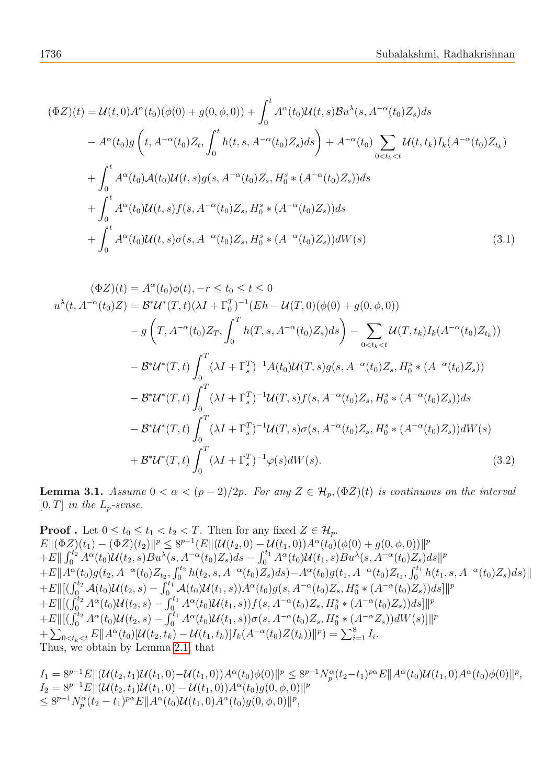$$
(\Phi Z)(t) = \mathcal{U}(t,0)A^{\alpha}(t_0)(\phi(0) + g(0,\phi,0)) + \int_0^t A^{\alpha}(t_0)\mathcal{U}(t,s)B u^{\lambda}(s, A^{-\alpha}(t_0)Z_s)ds
$$
  
\n
$$
- A^{\alpha}(t_0)g\left(t, A^{-\alpha}(t_0)Z_t, \int_0^t h(t,s, A^{-\alpha}(t_0)Z_s)ds\right) + A^{-\alpha}(t_0) \sum_{0 \le t_k < t} \mathcal{U}(t,t_k)I_k(A^{-\alpha}(t_0)Z_{t_k})
$$
  
\n
$$
+ \int_0^t A^{\alpha}(t_0)\mathcal{A}(t_0)\mathcal{U}(t,s)g(s, A^{-\alpha}(t_0)Z_s, H_0^s * (A^{-\alpha}(t_0)Z_s))ds
$$
  
\n
$$
+ \int_0^t A^{\alpha}(t_0)\mathcal{U}(t,s)f(s, A^{-\alpha}(t_0)Z_s, H_0^s * (A^{-\alpha}(t_0)Z_s))ds
$$
  
\n
$$
+ \int_0^t A^{\alpha}(t_0)\mathcal{U}(t,s)\sigma(s, A^{-\alpha}(t_0)Z_s, H_0^s * (A^{-\alpha}(t_0)Z_s))dW(s)
$$
\n(3.1)

$$
(\Phi Z)(t) = A^{\alpha}(t_0)\phi(t), -r \le t_0 \le t \le 0
$$
  
\n
$$
u^{\lambda}(t, A^{-\alpha}(t_0)Z) = \mathcal{B}^* \mathcal{U}^*(T, t)(\lambda I + \Gamma_0^T)^{-1}(Eh - \mathcal{U}(T, 0)(\phi(0) + g(0, \phi, 0))
$$
  
\n
$$
-g\left(T, A^{-\alpha}(t_0)Z_T, \int_0^T h(T, s, A^{-\alpha}(t_0)Z_s)ds\right) - \sum_{0 < t_k < t} \mathcal{U}(T, t_k)I_k(A^{-\alpha}(t_0)Z_{t_k}))
$$
  
\n
$$
- \mathcal{B}^* \mathcal{U}^*(T, t) \int_0^T (\lambda I + \Gamma_s^T)^{-1}A(t_0)\mathcal{U}(T, s)g(s, A^{-\alpha}(t_0)Z_s, H_0^s * (A^{-\alpha}(t_0)Z_s))
$$
  
\n
$$
- \mathcal{B}^* \mathcal{U}^*(T, t) \int_0^T (\lambda I + \Gamma_s^T)^{-1} \mathcal{U}(T, s) f(s, A^{-\alpha}(t_0)Z_s, H_0^s * (A^{-\alpha}(t_0)Z_s)) ds
$$
  
\n
$$
- \mathcal{B}^* \mathcal{U}^*(T, t) \int_0^T (\lambda I + \Gamma_s^T)^{-1} \mathcal{U}(T, s) \sigma(s, A^{-\alpha}(t_0)Z_s, H_0^s * (A^{-\alpha}(t_0)Z_s)) dW(s)
$$
  
\n
$$
+ \mathcal{B}^* \mathcal{U}^*(T, t) \int_0^T (\lambda I + \Gamma_s^T)^{-1} \varphi(s) dW(s).
$$
\n(3.2)

<span id="page-5-0"></span>**Lemma 3.1.** Assume  $0 < \alpha < (p-2)/2p$ . For any  $Z \in \mathcal{H}_p$ ,  $(\Phi Z)(t)$  is continuous on the interval  $[0,T]$  in the  $\mathcal{L}_p\text{-}\mathit{sense}.$ 

Proof. Let 
$$
0 \le t_0 \le t_1 < t_2 < T
$$
. Then for any fixed  $Z \in \mathcal{H}_p$ .  
\n
$$
E\|(\Phi Z)(t_1) - (\Phi Z)(t_2)\|^p \le 8^{p-1}(E\|(\mathcal{U}(t_2, 0) - \mathcal{U}(t_1, 0))A^{\alpha}(t_0)(\phi(0) + g(0, \phi, 0))\|^p
$$
\n
$$
+ E\| \int_0^{t_2} A^{\alpha}(t_0) \mathcal{U}(t_2, s) B u^{\lambda}(s, A^{-\alpha}(t_0) Z_s) ds - \int_0^{t_1} A^{\alpha}(t_0) \mathcal{U}(t_1, s) B u^{\lambda}(s, A^{-\alpha}(t_0) Z_s) ds\|^p
$$
\n
$$
+ E\|A^{\alpha}(t_0) g(t_2, A^{-\alpha}(t_0) Z_{t_2}, \int_0^{t_2} h(t_2, s, A^{-\alpha}(t_0) Z_s) ds) - A^{\alpha}(t_0) g(t_1, A^{-\alpha}(t_0) Z_{t_1}, \int_0^{t_1} h(t_1, s, A^{-\alpha}(t_0) Z_s) ds)\|
$$
\n
$$
+ E\|[(\int_0^{t_2} A(t_0) \mathcal{U}(t_2, s) - \int_0^{t_1} A(t_0) \mathcal{U}(t_1, s))A^{\alpha}(t_0) g(s, A^{-\alpha}(t_0) Z_s, H_0^s * (A^{-\alpha}(t_0) Z_s)) ds]\|^p
$$
\n
$$
+ E\|[(\int_0^{t_2} A^{\alpha}(t_0) \mathcal{U}(t_2, s) - \int_0^{t_1} A^{\alpha}(t_0) \mathcal{U}(t_1, s))f(s, A^{-\alpha}(t_0) Z_s, H_0^s * (A^{-\alpha}(t_0) Z_s)) ds]\|^p
$$
\n
$$
+ E\|[(\int_0^{t_2} A^{\alpha}(t_0) \mathcal{U}(t_2, s) - \int_0^{t_1} A^{\alpha}(t_0) \mathcal{U}(t_1, s))\sigma(s, A^{-\alpha}(t_0) Z_s, H_0^s * (A^{-\alpha} Z_s)) dW(s)]\|^p
$$
\n
$$
+ \sum_{0 \le t_k &
$$

 $I_1 = 8^{p-1}E \Vert ( \mathcal{U}(t_2, t_1) \mathcal{U}(t_1, 0) - \mathcal{U}(t_1, 0) ) A^{\alpha}(t_0) \phi(0) \Vert^p \leq 8^{p-1} N_p^{\alpha}(t_2 - t_1)^{p\alpha} E \Vert A^{\alpha}(t_0) \mathcal{U}(t_1, 0) A^{\alpha}(t_0) \phi(0) \Vert^p,$  $I_2 = 8^{p-1} E ||(\mathcal{U}(t_2, t_1)\mathcal{U}(t_1, 0) - \mathcal{U}(t_1, 0)) A^{\alpha}(t_0) g(0, \phi, 0)||^p$  $\leq 8^{p-1}N_p^{\alpha}(t_2-t_1)^{p\alpha}E\|A^{\alpha}(t_0)\mathcal{U}(t_1,0)A^{\alpha}(t_0)g(0,\phi,0)\|^p,$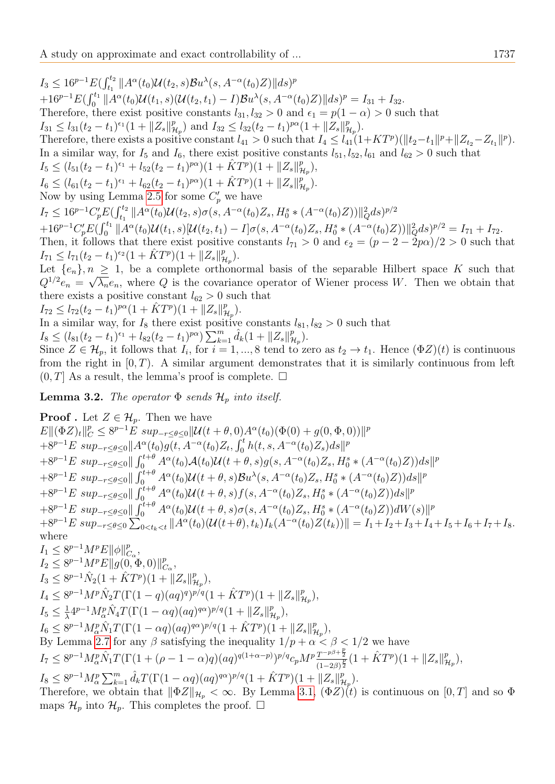$I_3 \leq 16^{p-1} E(\int_{t_1}^{t_2} ||A^{\alpha}(t_0) \mathcal{U}(t_2, s) \mathcal{B}u^{\lambda}(s, A^{-\alpha}(t_0) Z) || ds)^p$  $+16^{p-1}E(\int_0^{t_1} \|A^{\alpha}(t_0)U(t_1, s)(U(t_2, t_1) - I)Bu^{\lambda}(s, A^{-\alpha}(t_0)Z)\|ds)^p = I_{31} + I_{32}.$ Therefore, there exist positive constants  $l_{31}$ ,  $l_{32} > 0$  and  $\epsilon_1 = p(1 - \alpha) > 0$  such that  $I_{31} \leq l_{31}(t_2-t_1)^{\epsilon_1}(1+\|Z_s\|_p^p)$  $H_{\mu_p}^p$  and  $I_{32} \leq l_{32}(t_2 - t_1)^{p\alpha} (1 + ||Z_s||_p^p)$  $^p_{\mathcal{H}_p}$ ). Therefore, there exists a positive constant  $l_{41} > 0$  such that  $I_4 \leq l_{41}(1+KT^p)(\|t_2-t_1\|^p + \|Z_{t_2}-Z_{t_1}\|^p)$ . In a similar way, for  $I_5$  and  $I_6$ , there exist positive constants  $l_{51}$ ,  $l_{52}$ ,  $l_{61}$  and  $l_{62} > 0$  such that  $I_5 \leq (l_{51}(t_2 - t_1)^{\epsilon_1} + l_{52}(t_2 - t_1)^{p\alpha})(1 + \hat{K}T^p)(1 + \|Z_s\|_p^p)$  $^p_{\mathcal{H}_p}),$  $I_6 \leq (l_{61}(t_2 - t_1)^{\epsilon_1} + l_{62}(t_2 - t_1)^{p\alpha})(1 + \hat{K}T^p)(1 + \|Z_s\|_p^p)$  $^p_{\mathcal{H}_p}$ ). Now by using Lemma [2.5](#page-4-0) for some  $C_p'$  we have  $I_7 \leq 16^{p-1} C'_p E(\int_{t_1}^{t_2} \|A^{\alpha}(t_0) \mathcal{U}(t_2, s) \sigma(s, A^{-\alpha}(t_0) Z_s, H_0^s \ast(A^{-\alpha}(t_0) Z))\|_Q^2 ds)^{p/2}$  $+16^{p-1}C'_pE(\int_0^{t_1} \|A^{\alpha}(t_0)\mathcal{U}(t_1,s)[\mathcal{U}(t_2,t_1) - I]\sigma(s,A^{-\alpha}(t_0)Z_s, H_0^s*(A^{-\alpha}(t_0)Z))\|_Q^2ds)^{p/2} = I_{71} + I_{72}.$ Then, it follows that there exist positive constants  $l_{71} > 0$  and  $\epsilon_2 = (p - 2 - 2p\alpha)/2 > 0$  such that  $I_{71} \leq l_{71}(t_2-t_1)^{\epsilon_2}(1+\hat{K}T^p)(1+\|Z_s\|_p^p)$  $^p_{\mathcal{H}_p}$  ). Let  $\{e_n\}, n \geq 1$ , be a complete orthonormal basis of the separable Hilbert space K such that  $Q^{1/2}e_n = \sqrt{\lambda_n}e_n$ , where Q is the covariance operator of Wiener process W. Then we obtain that there exists a positive constant  $l_{62} > 0$  such that  $I_{72} \leq l_{72}(t_2 - \overline{t}_1)^{p\alpha}(1 + \hat{K}T^p)(1 + \|Z_s\|_p^p)$  $^p_{\mathcal{H}_p}$  ).

In a similar way, for  $I_8$  there exist positive constants  $l_{81}$ ,  $l_{82} > 0$  such that

$$
I_8 \leq (l_{81}(t_2 - t_1)^{\epsilon_1} + l_{82}(t_2 - t_1)^{p\alpha}) \sum_{k=1}^m \hat{d}_k (1 + \|Z_s\|_{\mathcal{H}_p}^p).
$$

Since  $Z \in \mathcal{H}_p$ , it follows that  $I_i$ , for  $i = 1, ..., 8$  tend to zero as  $t_2 \to t_1$ . Hence  $(\Phi Z)(t)$  is continuous from the right in  $[0, T)$ . A similar argument demonstrates that it is similarly continuous from left  $(0, T]$  As a result, the lemma's proof is complete.  $\Box$ 

<span id="page-6-0"></span>**Lemma 3.2.** The operator  $\Phi$  sends  $\mathcal{H}_p$  into itself.

<span id="page-6-1"></span>**Proof** . Let  $Z \in \mathcal{H}_p$ . Then we have  $E\|(\Phi Z)_t\|_C^p \leq 8^{p-1}E \sup_{-r \leq \theta \leq 0} \|\mathcal{U}(t+\theta,0)A^{\alpha}(t_0)(\Phi(0)+g(0,\Phi,0))\|^p$  $+8^{p-1}E \sup_{-r\leq \theta \leq 0} ||A^{\alpha}(t_0)g(t,A^{-\alpha}(t_0)Z_t,f_0^{t}h(t,s,A^{-\alpha}(t_0)Z_s)ds||^p$  $+8^{p-1}E \ sup_{-r \leq \theta \leq 0} \|\int_0^{t+\theta} A^{\alpha}(t_0)A(t_0)U(t+\theta,s)g(s,A^{-\alpha}(t_0)Z_s,H_0^{s} * (A^{-\alpha}(t_0)Z))ds\|^p$  $+8^{p-1}E \sup_{-r\leq\theta\leq0}\|\int_{0}^{t+\theta}A^{\alpha}(t_0)\mathcal{U}(t+\theta,s)\mathcal{B}u^{\lambda}(s,A^{-\alpha}(t_0)Z_s,H_0^s*(A^{-\alpha}(t_0)Z))ds\|^p$  $+8^{p-1}E \sup _{-r\leq \theta \leq 0} \|\int_0^{t+\theta} A^{\alpha}(t_0) \mathcal{U}(t+\theta,s) f(s, A^{-\alpha}(t_0) Z_s, H_0^{s} * (A^{-\alpha}(t_0) Z)) ds\|^p$  $+8^{p-1}E \sup _{-r\leq \theta \leq 0} \|\int_0^{t+\theta} A^{\alpha}(t_0)\mathcal{U}(t+\theta,s)\sigma(s,A^{-\alpha}(t_0)Z_s,H^s_0*(A^{-\alpha}(t_0)Z))dW(s)\|^p$  $+8^{p-1}E \, \sup_{-r \leq \theta \leq 0} \sum_{0 \leq t_k \leq t}^{\infty} \|A^{\alpha}(t_0)(\mathcal{U}(t+\theta), t_k)I_k(A^{-\alpha}(t_0)Z(t_k))\| = I_1 + I_2 + I_3 + I_4 + I_5 + I_6 + I_7 + I_8.$ where  $I_1 \leq 8^{p-1}M^pE ||\phi||_C^p$  $_{C_{\alpha}}^{p},$  $I_2 \leq 8^{p-1}M^pE||g(0, \Phi, 0)||_C^p$  $_{C_\alpha}^p,$  $I_3 \leq 8^{p-1}\hat{N}_2(1+\hat{K}T^p)(1+\|Z_s\|_p^p)$  $^p_{\mathcal{H}_p}),$  $I_4 \leq 8^{p-1}M^p \hat{N}_2T(\Gamma(1-q)(aq)^q)^{p/q}(1+\hat{K}T^p)(1+\|Z_s\|_p^p)$  $^p_{\mathcal{H}_p}),$  $I_5 \leq \frac{1}{\lambda}$  $\frac{1}{\lambda}4^{p-1}M_\alpha^p\hat{N}_4T(\Gamma(1-\alpha q)(aq)^{q\alpha})^{p/q}(1+\|Z_s\|_p^p)$  $_{\mathcal{H}_{p}}^{p}),$  $I_6 \leq 8^{p-1} M_{\alpha}^p \hat{N}_1 T(\Gamma(1-\alpha q)(aq)^{q\alpha})^{p/q} (1+\hat{K}T^p)(1+\|Z_s\|_p^p)$  $_{\mathcal{H}_{p}}^{p}),$ By Lemma [2.7](#page-4-1) for any  $\beta$  satisfying the inequality  $1/p + \alpha < \beta < 1/2$  we have  $I_7 \leq 8^{p-1} M_{\alpha}^p \hat{N}_1 T (\Gamma(1+(\rho-1-\alpha)q)(aq)^{q(1+\alpha-p)})^{p/q} c_p M^p \frac{T^{-p\beta+\frac{p}{2}}}{(1-2\beta)^{\frac{p}{2}}}$  $\frac{T^{-p\beta+\frac{\nu}{2}}}{(1-2\beta)^{\frac{p}{2}}} (1 + \hat{K} T^{p})(1 + \|Z_{s}\|^{p}_{\mathcal{H}})$  $_{\mathcal{H}_{p}}^{p}),$  $I_8 \leq 8^{p-1} M_{\alpha}^p \sum_{k=1}^m \hat{d}_k T (\Gamma(1-\alpha q)(aq)^{q\alpha})^{p/q} (1 + \hat{K}T^p)(1 + \|Z_s\|_p^p)$  $^p_{\mathcal{H}_p}$ ). Therefore, we obtain that  $\|\Phi Z\|_{\mathcal{H}_p} < \infty$ . By Lemma [3.1,](#page-5-0)  $(\Phi Z)(t)$  is continuous on  $[0, T]$  and so  $\Phi$ maps  $\mathcal{H}_p$  into  $\mathcal{H}_p$ . This completes the proof.  $\square$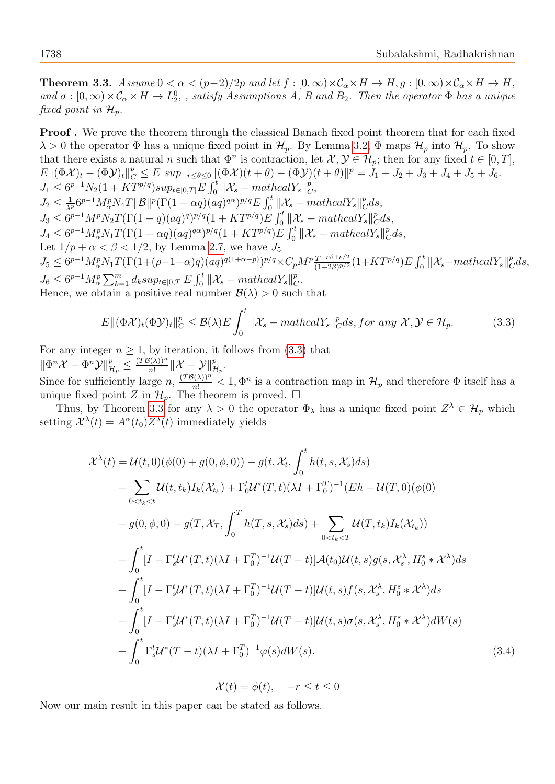**Theorem 3.3.** Assume  $0 < \alpha < (p-2)/2p$  and let  $f : [0, \infty) \times C_\alpha \times H \to H$ ,  $g : [0, \infty) \times C_\alpha \times H \to H$ , and  $\sigma:[0,\infty)\times\mathcal{C}_\alpha\times H\to L_2^0$ , satisfy Assumptions A, B and B<sub>2</sub>. Then the operator  $\Phi$  has a unique fixed point in  $\mathcal{H}_p$ .

Proof . We prove the theorem through the classical Banach fixed point theorem that for each fixed  $\lambda > 0$  the operator  $\Phi$  has a unique fixed point in  $\mathcal{H}_p$ . By Lemma [3.2,](#page-6-0)  $\Phi$  maps  $\mathcal{H}_p$  into  $\mathcal{H}_p$ . To show that there exists a natural n such that  $\Phi^n$  is contraction, let  $\mathcal{X}, \mathcal{Y} \in \mathcal{H}_p$ ; then for any fixed  $t \in [0, T]$ ,  $E\|(\Phi \mathcal{X})_t - (\Phi \mathcal{Y})_t\|_C^p \leq E \sup_{-r \leq \theta \leq 0} \|(\Phi \mathcal{X})(t + \theta) - (\Phi \mathcal{Y})(t + \theta)\|^p = J_1 + J_2 + J_3 + J_4 + J_5 + J_6.$  $J_1 \leq 6^{p-1} N_2 (1 + KT^{p/q}) supp_{t \in [0,T]} E \int_0^t ||\mathcal{X}_s - mathcal{Y}_s||_C^p$  $^p_C,$  $J_2 \leq \frac{1}{\lambda^p} 6^{p-1} M_{\alpha}^p N_4 T ||\mathcal{B}||^p (\Gamma(1-\alpha q) (aq)^{q\alpha})^{p/q} E \int_0^t ||\mathcal{X}_s - mathcal{Y}_s||_C^p$  $_{C}^{p}ds,$  $J_3 \leq 6^{p-1}M^pN_2T(\Gamma(1-q)(aq)^q)^{p/q}(1+KT^{p/q})E\int_0^t\|\mathcal{X}_s-mathcalY_s\|_0^p$  $_{C}^{p}ds,$  $J_4 \leq 6^{p-1} M_\alpha^p N_1 T(\Gamma(1-\alpha q)(aq)^{q\alpha})^{p/q} (1+KT^{p/q}) \tilde{E} \int_0^t \|\mathcal{X}_s - mathcal{Y}_s\|_0^p$  $_{C}^{p}ds,$ Let  $1/p + \alpha < \beta < 1/2$ , by Lemma [2.7,](#page-4-1) we have  $J_5$  $J_5 \leq 6^{p-1} M_\alpha^p N_1 T(\Gamma(1+(\rho-1-\alpha)q)(aq)^{q(1+\alpha-p)})^{p/q} \times C_p M^p \frac{T^{-p\beta+p/2}}{(1-2\beta)^{p/2}}(1+KT^{p/q}) E \int_0^t \|\mathcal{X}_s-mathcal{X}_s\|^p$  $_{C}^{p}ds,$  $J_6 \leq 6^{p-1} M_{\alpha}^p \sum_{k=1}^m d_k sup_{t \in [0,T]} E \int_0^t ||\mathcal{X}_s - mathcal{Y}_s||_0^p$  $_C^p.$ Hence, we obtain a positive real number  $\mathcal{B}(\lambda) > 0$  such that

<span id="page-7-0"></span>
$$
E\|(\Phi \mathcal{X})_t(\Phi \mathcal{Y})_t\|_C^p \leq \mathcal{B}(\lambda)E\int_0^t \|\mathcal{X}_s - \mathit{mathcal{Y}_s}\|_C^p ds, \text{for any } \mathcal{X}, \mathcal{Y} \in \mathcal{H}_p. \tag{3.3}
$$

For any integer  $n \geq 1$ , by iteration, it follows from [\(3.3\)](#page-7-0) that  $\|\Phi^n\mathcal{X}-\Phi^n\mathcal{Y}\|_{\mathcal{H}_p}^p\leq \frac{(T\mathcal{B}(\lambda))^n}{n!}$  $\frac{\partial (\lambda))^n}{n!}\|\mathcal{X}-\mathcal{Y}\|_{\mathcal{H}_p}^p.$ Since for sufficiently large  $n, \frac{(TB(\lambda))^n}{n!} < 1, \Phi^n$  is a contraction map in  $\mathcal{H}_p$  and therefore  $\Phi$  itself has a

unique fixed point Z in  $\mathcal{H}_p$ . The theorem is proved.  $\Box$ 

Thus, by Theorem [3.3](#page-6-1) for any  $\lambda > 0$  the operator  $\Phi_{\lambda}$  has a unique fixed point  $Z^{\lambda} \in \mathcal{H}_p$  which setting  $\mathcal{X}^{\lambda}(t) = A^{\alpha}(t_0)Z^{\lambda}(t)$  immediately yields

$$
\mathcal{X}^{\lambda}(t) = \mathcal{U}(t,0)(\phi(0) + g(0,\phi,0)) - g(t, \mathcal{X}_{t}, \int_{0}^{t} h(t,s, \mathcal{X}_{s})ds) \n+ \sum_{0 \le t_{k} < t} \mathcal{U}(t,t_{k})I_{k}(\mathcal{X}_{t_{k}}) + \Gamma_{0}^{t} \mathcal{U}^{*}(T,t)(\lambda I + \Gamma_{0}^{T})^{-1}(Eh - \mathcal{U}(T,0)(\phi(0)) \n+ g(0,\phi,0) - g(T, \mathcal{X}_{T}, \int_{0}^{T} h(T,s, \mathcal{X}_{s})ds) + \sum_{0 \le t_{k} < T} \mathcal{U}(T,t_{k})I_{k}(\mathcal{X}_{t_{k}})) \n+ \int_{0}^{t} [I - \Gamma_{s}^{t} \mathcal{U}^{*}(T,t)(\lambda I + \Gamma_{0}^{T})^{-1} \mathcal{U}(T-t)]\mathcal{A}(t_{0})\mathcal{U}(t,s)g(s, \mathcal{X}_{s}^{\lambda}, H_{0}^{s} * \mathcal{X}^{\lambda})ds \n+ \int_{0}^{t} [I - \Gamma_{s}^{t} \mathcal{U}^{*}(T,t)(\lambda I + \Gamma_{0}^{T})^{-1} \mathcal{U}(T-t)]\mathcal{U}(t,s)f(s, \mathcal{X}_{s}^{\lambda}, H_{0}^{s} * \mathcal{X}^{\lambda})ds \n+ \int_{0}^{t} [I - \Gamma_{s}^{t} \mathcal{U}^{*}(T,t)(\lambda I + \Gamma_{0}^{T})^{-1} \mathcal{U}(T-t)]\mathcal{U}(t,s)\sigma(s, \mathcal{X}_{s}^{\lambda}, H_{0}^{s} * \mathcal{X}^{\lambda})dW(s) \n+ \int_{0}^{t} \Gamma_{s}^{t} \mathcal{U}^{*}(T-t)(\lambda I + \Gamma_{0}^{T})^{-1} \varphi(s)dW(s).
$$
\n(3.4)

<span id="page-7-1"></span> $\mathcal{X}(t) = \phi(t), \quad -r \leq t \leq 0$ 

<span id="page-7-2"></span>Now our main result in this paper can be stated as follows.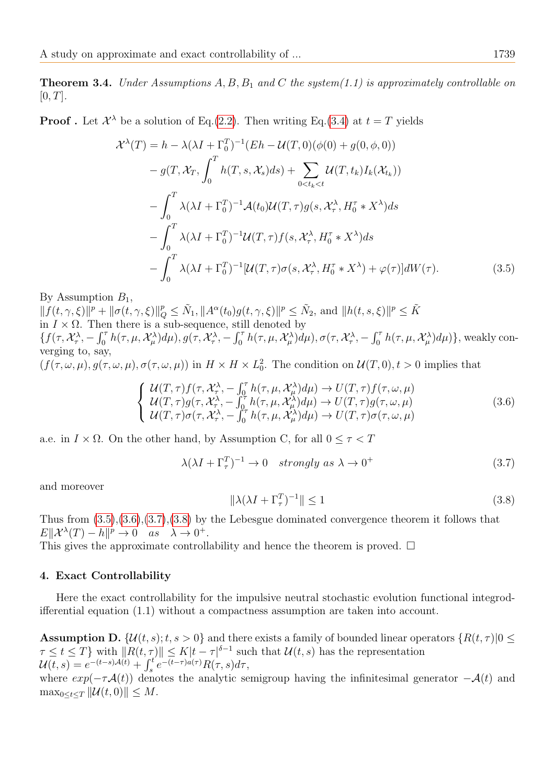**Theorem 3.4.** Under Assumptions A, B, B<sub>1</sub> and C the system(1.1) is approximately controllable on  $[0, T].$ 

**Proof**. Let  $\mathcal{X}^{\lambda}$  be a solution of Eq.[\(2.2\)](#page-4-2). Then writing Eq.[\(3.4\)](#page-7-1) at  $t = T$  yields

$$
\mathcal{X}^{\lambda}(T) = h - \lambda(\lambda I + \Gamma_0^T)^{-1}(Eh - \mathcal{U}(T,0)(\phi(0) + g(0,\phi,0))
$$
  
\n
$$
- g(T, \mathcal{X}_T, \int_0^T h(T, s, \mathcal{X}_s)ds) + \sum_{0 < t_k < t} \mathcal{U}(T, t_k)I_k(\mathcal{X}_{t_k}))
$$
  
\n
$$
- \int_0^T \lambda(\lambda I + \Gamma_0^T)^{-1}\mathcal{A}(t_0)\mathcal{U}(T, \tau)g(s, \mathcal{X}_{\tau}^{\lambda}, H_0^{\tau} * X^{\lambda})ds
$$
  
\n
$$
- \int_0^T \lambda(\lambda I + \Gamma_0^T)^{-1}\mathcal{U}(T, \tau)f(s, \mathcal{X}_{\tau}^{\lambda}, H_0^{\tau} * X^{\lambda})ds
$$
  
\n
$$
- \int_0^T \lambda(\lambda I + \Gamma_0^T)^{-1}[\mathcal{U}(T, \tau)\sigma(s, \mathcal{X}_{\tau}^{\lambda}, H_0^{\tau} * X^{\lambda}) + \varphi(\tau)]dW(\tau).
$$
 (3.5)

By Assumption  $B_1$ ,

 $|| f(t, \gamma, \xi) ||^p + ||\sigma(t, \gamma, \xi)||_Q^p \leq \tilde{N}_1, ||A^{\alpha}(t_0)g(t, \gamma, \xi)||^p \leq \tilde{N}_2$ , and  $||h(t, s, \xi)||^p \leq \tilde{K}$ in  $I \times \Omega$ . Then there is a sub-sequence, still denoted by  $\{f(\tau,\mathcal{X}^{\lambda}_{\tau},-\int_{0}^{\tau}h(\tau,\mu,\mathcal{X}^{\lambda}_{\mu})d\mu),g(\tau,\mathcal{X}^{\lambda}_{\tau},-\int_{0}^{\tau}h(\tau,\mu,\mathcal{X}^{\lambda}_{\mu})d\mu),\sigma(\tau,\mathcal{X}^{\lambda}_{\tau},-\int_{0}^{\tau}h(\tau,\mu,\mathcal{X}^{\lambda}_{\mu})d\mu)\},$  weakly converging to, say,  $(f(\tau,\omega,\mu), g(\tau,\omega,\mu), \sigma(\tau,\omega,\mu))$  in  $H \times H \times L_0^2$ . The condition on  $\mathcal{U}(T,0), t > 0$  implies that

<span id="page-8-1"></span>
$$
\begin{cases}\nU(T,\tau)f(\tau,\mathcal{X}_{\tau}^{\lambda},-\int_{0}^{\tau}h(\tau,\mu,\mathcal{X}_{\mu}^{\lambda})d\mu)\rightarrow U(T,\tau)f(\tau,\omega,\mu) \\
U(T,\tau)g(\tau,\mathcal{X}_{\tau}^{\lambda},-\int_{0}^{\tau}h(\tau,\mu,\mathcal{X}_{\mu}^{\lambda})d\mu)\rightarrow U(T,\tau)g(\tau,\omega,\mu) \\
U(T,\tau)\sigma(\tau,\mathcal{X}_{\tau}^{\lambda},-\int_{0}^{\tau}h(\tau,\mu,\mathcal{X}_{\mu}^{\lambda})d\mu)\rightarrow U(T,\tau)\sigma(\tau,\omega,\mu)\n\end{cases}
$$
\n(3.6)

a.e. in  $I \times \Omega$ . On the other hand, by Assumption C, for all  $0 \leq \tau < T$ 

<span id="page-8-2"></span>
$$
\lambda(\lambda I + \Gamma_\tau^T)^{-1} \to 0 \quad strongly \; as \; \lambda \to 0^+ \tag{3.7}
$$

and moreover

<span id="page-8-3"></span><span id="page-8-0"></span>
$$
\|\lambda(\lambda I + \Gamma_\tau^T)^{-1}\| \le 1\tag{3.8}
$$

Thus from [\(3.5\)](#page-8-0),[\(3.6\)](#page-8-1),[\(3.7\)](#page-8-2),[\(3.8\)](#page-8-3) by the Lebesgue dominated convergence theorem it follows that  $E\|\mathcal{X}^{\lambda}(T)-h\|^p \to 0 \text{ as } \lambda \to 0^+.$ 

This gives the approximate controllability and hence the theorem is proved.  $\Box$ 

# 4. Exact Controllability

Here the exact controllability for the impulsive neutral stochastic evolution functional integrodifferential equation (1.1) without a compactness assumption are taken into account.

**Assumption D.**  $\{\mathcal{U}(t, s); t, s > 0\}$  and there exists a family of bounded linear operators  $\{R(t, \tau)|0 \leq \tau\}$  $\tau \leq t \leq T$  with  $||R(t, \tau)|| \leq K|t - \tau|^{\delta-1}$  such that  $\mathcal{U}(t, s)$  has the representation  $\mathcal{U}(t,s) = e^{-(t-s)\mathcal{A}(t)} + \int_{s}^{t} e^{-(t-\tau)a(\tau)} R(\tau,s) d\tau,$ 

where  $exp(-\tau \mathcal{A}(t))$  denotes the analytic semigroup having the infinitesimal generator  $-\mathcal{A}(t)$  and  $\max_{0 \leq t \leq T} ||\mathcal{U}(t,0)|| \leq M.$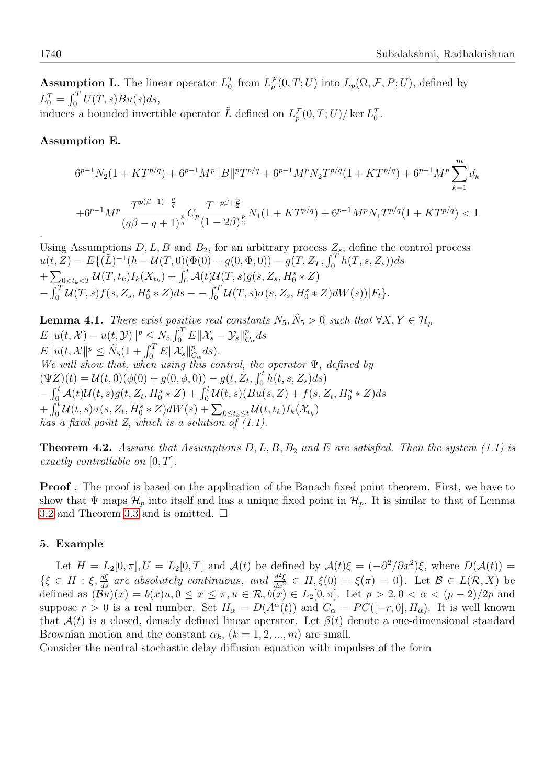**Assumption L.** The linear operator  $L_0^T$  from  $L_p^{\mathcal{F}}(0,T;U)$  into  $L_p(\Omega, \mathcal{F}, P; U)$ , defined by  $L_0^T = \int_0^T U(T, s)Bu(s)ds,$ induces a bounded invertible operator  $\tilde{L}$  defined on  $L_p^{\mathcal{F}}(0,T;U)/\ker L_0^T$ .

## Assumption E.

$$
6^{p-1}N_2(1+KT^{p/q}) + 6^{p-1}M^p||B||^pT^{p/q} + 6^{p-1}M^pN_2T^{p/q}(1+KT^{p/q}) + 6^{p-1}M^p\sum_{k=1}^md_k
$$
  
+6<sup>p-1</sup>M<sup>p</sup> $\frac{T^{p(\beta-1)+\frac{p}{q}}}{(q\beta-q+1)^{\frac{p}{q}}}C_p\frac{T^{-p\beta+\frac{p}{2}}}{(1-2\beta)^{\frac{p}{2}}}N_1(1+KT^{p/q}) + 6^{p-1}M^pN_1T^{p/q}(1+KT^{p/q}) < 1$ 

Using Assumptions  $D, L, B$  and  $B_2$ , for an arbitrary process  $Z_s$ , define the control process  $u(t, Z) = E\{(\tilde{L})^{-1}(h - \mathcal{U}(T, 0)(\Phi(0) + g(0, \Phi, 0)) - g(T, Z_T, \int_0^T h(T, s, Z_s))ds\}$  $+ \sum_{0 < t_k < T} U(T, t_k) I_k(X_{t_k}) + \int_0^t \mathcal{A}(t) \mathcal{U}(T, s) g(s, Z_s, H_0^s * Z)$  $-\int_0^T \mathcal{U}(T,s) f(s,Z_s,H_0^s*Z) ds - -\int_0^T \mathcal{U}(T,s) \sigma(s,Z_s,H_0^s*Z) dW(s)) |F_t\}.$ 

**Lemma 4.1.** There exist positive real constants  $N_5$ ,  $\hat{N}_5 > 0$  such that  $\forall X, Y \in \mathcal{H}_p$  $E \| u(t,\mathcal{X}) - u(t,\mathcal{Y})\|^p \leq N_5 \int_0^T E \| \mathcal{X}_s - \mathcal{Y}_s \|^p_c$  $_{C_\alpha}^p ds$  $E||u(t, \mathcal{X}||^p \leq \hat{N}_5(1 + \int_0^T E||\mathcal{X}_s||_C^p)$  $_{C_\alpha}^p ds$ ). We will show that, when using this control, the operator  $\Psi$ , defined by  $(\Psi Z)(t) = \mathcal{U}(t,0)(\phi(0) + g(0,\phi,0)) - g(t, Z_t, \int_0^t h(t, s, Z_s)ds)$  $-\int_0^t \mathcal{A}(t) \mathcal{U}(t,s) g(t,Z_t,H_0^s*Z) + \int_0^t \mathcal{U}(t,s) (Bu(s,Z) + f(s,Z_t,H_0^s*Z) ds$  $+ \int_0^t \mathcal{U}(t,s) \sigma(s,Z_t,H_0^{s} * Z) dW(s) + \sum_{0 \leq t_k \leq t} \mathcal{U}(t,t_k) I_k(\mathcal{X}_{t_k})$ has a fixed point Z, which is a solution of (1.1).

**Theorem 4.2.** Assume that Assumptions  $D, L, B, B_2$  and E are satisfied. Then the system (1.1) is exactly controllable on  $[0, T]$ .

**Proof.** The proof is based on the application of the Banach fixed point theorem. First, we have to show that  $\Psi$  maps  $\mathcal{H}_p$  into itself and has a unique fixed point in  $\mathcal{H}_p$ . It is similar to that of Lemma [3.2](#page-6-0) and Theorem [3.3](#page-6-1) and is omitted.  $\square$ 

# 5. Example

Let  $H = L_2[0, \pi], U = L_2[0, T]$  and  $\mathcal{A}(t)$  be defined by  $\mathcal{A}(t)\xi = (-\partial^2/\partial x^2)\xi$ , where  $D(\mathcal{A}(t)) =$  $\{\xi \in H : \xi, \frac{d\xi}{ds} \text{ are absolutely continuous, and } \frac{d^2\xi}{dx^2} \in H, \xi(0) = \xi(\pi) = 0\}.$  Let  $\mathcal{B} \in L(\mathcal{R}, X)$  be defined as  $(\mathcal{B}u)(x) = b(x)u, 0 \le x \le \pi, u \in \mathcal{R}, b(x) \in L_2[0, \pi]$ . Let  $p > 2, 0 < \alpha < (p-2)/2p$  and suppose  $r > 0$  is a real number. Set  $H_{\alpha} = D(A^{\alpha}(t))$  and  $C_{\alpha} = PC([-r, 0], H_{\alpha})$ . It is well known that  $A(t)$  is a closed, densely defined linear operator. Let  $\beta(t)$  denote a one-dimensional standard Brownian motion and the constant  $\alpha_k$ ,  $(k = 1, 2, ..., m)$  are small.

Consider the neutral stochastic delay diffusion equation with impulses of the form

.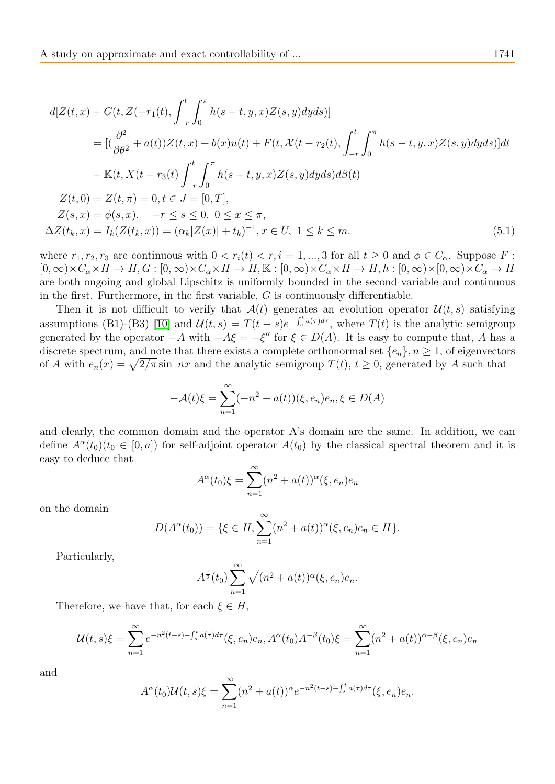$$
d[Z(t,x) + G(t, Z(-r_1(t), \int_{-r}^t \int_0^{\pi} h(s-t, y, x)Z(s, y)dyds)]
$$
  
\n
$$
= [(\frac{\partial^2}{\partial \theta^2} + a(t))Z(t, x) + b(x)u(t) + F(t, \mathcal{X}(t - r_2(t), \int_{-r}^t \int_0^{\pi} h(s-t, y, x)Z(s, y)dyds)]dt
$$
  
\n
$$
+ \mathbb{K}(t, X(t - r_3(t) \int_{-r}^t \int_0^{\pi} h(s-t, y, x)Z(s, y)dyds)d\beta(t)
$$
  
\n
$$
Z(t, 0) = Z(t, \pi) = 0, t \in J = [0, T],
$$
  
\n
$$
Z(s, x) = \phi(s, x), \quad -r \le s \le 0, 0 \le x \le \pi,
$$
  
\n
$$
\Delta Z(t_k, x) = I_k(Z(t_k, x)) = (\alpha_k |Z(x)| + t_k)^{-1}, x \in U, 1 \le k \le m.
$$
  
\n(5.1)

where  $r_1, r_2, r_3$  are continuous with  $0 < r_i(t) < r, i = 1, ..., 3$  for all  $t \geq 0$  and  $\phi \in C_\alpha$ . Suppose F:  $[0,\infty)\times C_\alpha\times H\to H, G:[0,\infty)\times C_\alpha\times H\to H, \mathbb{K}:[0,\infty)\times C_\alpha\times H\to H, h:[0,\infty)\times [0,\infty)\times C_\alpha\to H$ are both ongoing and global Lipschitz is uniformly bounded in the second variable and continuous in the first. Furthermore, in the first variable,  $G$  is continuously differentiable.

Then it is not difficult to verify that  $\mathcal{A}(t)$  generates an evolution operator  $\mathcal{U}(t, s)$  satisfying assumptions (B1)-(B3) [\[10\]](#page-12-19) and  $\mathcal{U}(t,s) = T(t-s)e^{-\int_s^t a(\tau)d\tau}$ , where  $T(t)$  is the analytic semigroup generated by the operator  $-A$  with  $-A\xi = -\xi''$  for  $\xi \in D(A)$ . It is easy to compute that, A has a discrete spectrum, and note that there exists a complete orthonormal set  $\{e_n\}, n \geq 1$ , of eigenvectors of A with  $e_n(x) = \sqrt{2/\pi} \sin nx$  and the analytic semigroup  $T(t)$ ,  $t \ge 0$ , generated by A such that

<span id="page-10-0"></span>
$$
-\mathcal{A}(t)\xi = \sum_{n=1}^{\infty} (-n^2 - a(t))(\xi, e_n)e_n, \xi \in D(A)
$$

and clearly, the common domain and the operator A's domain are the same. In addition, we can define  $A^{\alpha}(t_0)(t_0 \in [0, a])$  for self-adjoint operator  $A(t_0)$  by the classical spectral theorem and it is easy to deduce that

$$
A^{\alpha}(t_0)\xi = \sum_{n=1}^{\infty} (n^2 + a(t))^{\alpha} (\xi, e_n) e_n
$$

on the domain

$$
D(A^{\alpha}(t_0)) = \{\xi \in H, \sum_{n=1}^{\infty} (n^2 + a(t))^{\alpha} (\xi, e_n) e_n \in H\}.
$$

Particularly,

$$
A^{\frac{1}{2}}(t_0) \sum_{n=1}^{\infty} \sqrt{(n^2 + a(t))^{\alpha}} (\xi, e_n) e_n.
$$

Therefore, we have that, for each  $\xi \in H$ ,

$$
\mathcal{U}(t,s)\xi = \sum_{n=1}^{\infty} e^{-n^2(t-s) - \int_s^t a(\tau)d\tau} (\xi, e_n) e_n, A^{\alpha}(t_0) A^{-\beta}(t_0) \xi = \sum_{n=1}^{\infty} (n^2 + a(t))^{\alpha-\beta} (\xi, e_n) e_n
$$

and

$$
A^{\alpha}(t_0)U(t,s)\xi = \sum_{n=1}^{\infty} (n^2 + a(t))^{\alpha} e^{-n^2(t-s) - \int_s^t a(\tau)d\tau} (\xi, e_n) e_n.
$$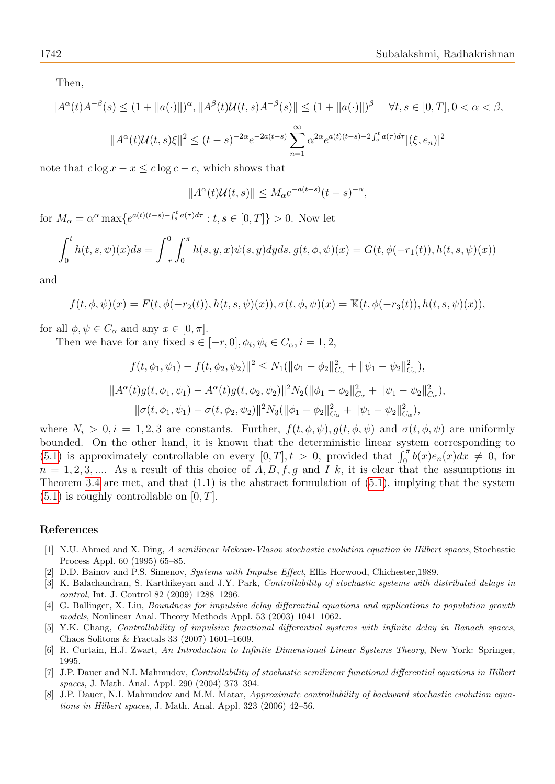Then,

$$
||A^{\alpha}(t)A^{-\beta}(s) \le (1 + ||a(\cdot)||)^{\alpha}, ||A^{\beta}(t)U(t, s)A^{-\beta}(s)|| \le (1 + ||a(\cdot)||)^{\beta} \quad \forall t, s \in [0, T], 0 < \alpha < \beta,
$$
  

$$
||A^{\alpha}(t)U(t, s)\xi||^{2} \le (t - s)^{-2\alpha}e^{-2a(t - s)} \sum_{n=1}^{\infty} \alpha^{2\alpha}e^{a(t)(t - s) - 2\int_{s}^{t} a(\tau)d\tau} |(\xi, e_{n})|^{2}
$$

note that  $c \log x - x \leq c \log c - c$ , which shows that

$$
||A^{\alpha}(t)\mathcal{U}(t,s)|| \leq M_{\alpha}e^{-a(t-s)}(t-s)^{-\alpha},
$$

for  $M_{\alpha} = \alpha^{\alpha} \max \{ e^{a(t)(t-s) - \int_{s}^{t} a(\tau) d\tau} : t, s \in [0, T] \} > 0$ . Now let

$$
\int_0^t h(t,s,\psi)(x)ds = \int_{-r}^0 \int_0^{\pi} h(s,y,x)\psi(s,y)dyds, g(t,\phi,\psi)(x) = G(t,\phi(-r_1(t)),h(t,s,\psi)(x))
$$

and

$$
f(t, \phi, \psi)(x) = F(t, \phi(-r_2(t)), h(t, s, \psi)(x)), \sigma(t, \phi, \psi)(x) = \mathbb{K}(t, \phi(-r_3(t)), h(t, s, \psi)(x)),
$$

for all  $\phi, \psi \in C_\alpha$  and any  $x \in [0, \pi]$ .

Then we have for any fixed  $s \in [-r, 0], \phi_i, \psi_i \in C_\alpha, i = 1, 2,$ 

$$
f(t, \phi_1, \psi_1) - f(t, \phi_2, \psi_2) \|^2 \le N_1(\|\phi_1 - \phi_2\|_{C_\alpha}^2 + \|\psi_1 - \psi_2\|_{C_\alpha}^2),
$$
  

$$
\|A^\alpha(t)g(t, \phi_1, \psi_1) - A^\alpha(t)g(t, \phi_2, \psi_2) \|^2 N_2(\|\phi_1 - \phi_2\|_{C_\alpha}^2 + \|\psi_1 - \psi_2\|_{C_\alpha}^2),
$$
  

$$
\|\sigma(t, \phi_1, \psi_1) - \sigma(t, \phi_2, \psi_2) \|^2 N_3(\|\phi_1 - \phi_2\|_{C_\alpha}^2 + \|\psi_1 - \psi_2\|_{C_\alpha}^2),
$$

where  $N_i > 0, i = 1, 2, 3$  are constants. Further,  $f(t, \phi, \psi), g(t, \phi, \psi)$  and  $\sigma(t, \phi, \psi)$  are uniformly bounded. On the other hand, it is known that the deterministic linear system corresponding to [\(5.1\)](#page-10-0) is approximately controllable on every  $[0, T], t > 0$ , provided that  $\int_0^{\pi} b(x)e_n(x)dx \neq 0$ , for  $n = 1, 2, 3, \dots$  As a result of this choice of A, B, f, g and I k, it is clear that the assumptions in Theorem [3.4](#page-7-2) are met, and that  $(1.1)$  is the abstract formulation of  $(5.1)$ , implying that the system  $(5.1)$  is roughly controllable on  $[0, T]$ .

### References

- <span id="page-11-6"></span>[1] N.U. Ahmed and X. Ding, A semilinear Mckean-Vlasov stochastic evolution equation in Hilbert spaces, Stochastic Process Appl. 60 (1995) 65–85.
- <span id="page-11-0"></span>D.D. Bainov and P.S. Simenov, Systems with Impulse Effect, Ellis Horwood, Chichester, 1989.
- <span id="page-11-5"></span>[3] K. Balachandran, S. Karthikeyan and J.Y. Park, Controllability of stochastic systems with distributed delays in control, Int. J. Control 82 (2009) 1288–1296.
- <span id="page-11-2"></span>[4] G. Ballinger, X. Liu, Boundness for impulsive delay differential equations and applications to population growth models, Nonlinear Anal. Theory Methods Appl. 53 (2003) 1041–1062.
- <span id="page-11-1"></span>[5] Y.K. Chang, Controllability of impulsive functional differential systems with infinite delay in Banach spaces, Chaos Solitons & Fractals 33 (2007) 1601–1609.
- <span id="page-11-3"></span>[6] R. Curtain, H.J. Zwart, An Introduction to Infinite Dimensional Linear Systems Theory, New York: Springer, 1995.
- <span id="page-11-7"></span>[7] J.P. Dauer and N.I. Mahmudov, Controllability of stochastic semilinear functional differential equations in Hilbert spaces, J. Math. Anal. Appl. 290 (2004) 373–394.
- <span id="page-11-4"></span>[8] J.P. Dauer, N.I. Mahmudov and M.M. Matar, *Approximate controllability of backward stochastic evolution equa*tions in Hilbert spaces, J. Math. Anal. Appl. 323 (2006) 42–56.